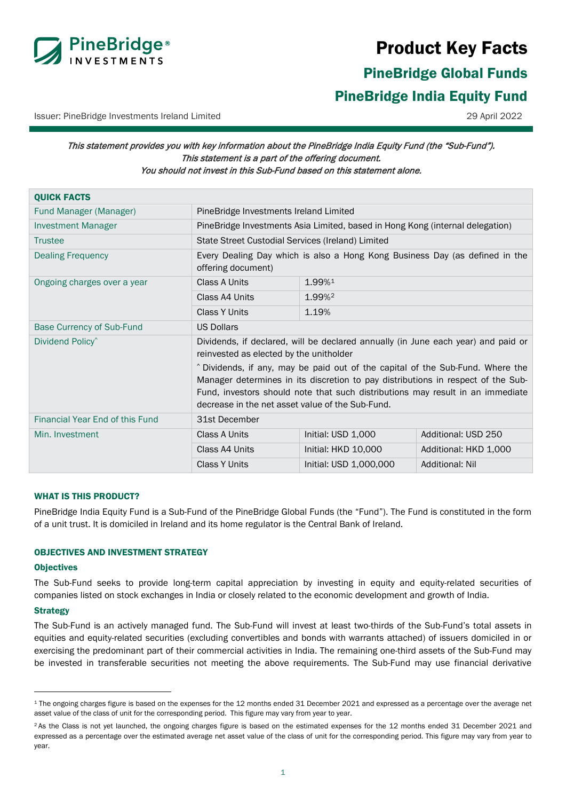

# Product Key Facts

<span id="page-0-0"></span>PineBridge Global Funds PineBridge India Equity Fund

Issuer: PineBridge Investments Ireland Limited 29 April 2022

# This statement provides you with key information about the PineBridge India Equity Fund (the "Sub-Fund"). This statement is a part of the offering document. You should not invest in this Sub-Fund based on this statement alone.

| <b>QUICK FACTS</b>               |                                                                                                                                                                                                                                                                                                                                                                                                                                          |                        |                        |
|----------------------------------|------------------------------------------------------------------------------------------------------------------------------------------------------------------------------------------------------------------------------------------------------------------------------------------------------------------------------------------------------------------------------------------------------------------------------------------|------------------------|------------------------|
| Fund Manager (Manager)           | PineBridge Investments Ireland Limited                                                                                                                                                                                                                                                                                                                                                                                                   |                        |                        |
| <b>Investment Manager</b>        | PineBridge Investments Asia Limited, based in Hong Kong (internal delegation)                                                                                                                                                                                                                                                                                                                                                            |                        |                        |
| <b>Trustee</b>                   | State Street Custodial Services (Ireland) Limited                                                                                                                                                                                                                                                                                                                                                                                        |                        |                        |
| <b>Dealing Frequency</b>         | Every Dealing Day which is also a Hong Kong Business Day (as defined in the<br>offering document)                                                                                                                                                                                                                                                                                                                                        |                        |                        |
| Ongoing charges over a year      | Class A Units                                                                                                                                                                                                                                                                                                                                                                                                                            | 1.99%1                 |                        |
|                                  | Class A4 Units                                                                                                                                                                                                                                                                                                                                                                                                                           | 1.99% <sup>2</sup>     |                        |
|                                  | <b>Class Y Units</b>                                                                                                                                                                                                                                                                                                                                                                                                                     | 1.19%                  |                        |
| <b>Base Currency of Sub-Fund</b> | <b>US Dollars</b>                                                                                                                                                                                                                                                                                                                                                                                                                        |                        |                        |
| Dividend Policy <sup>^</sup>     | Dividends, if declared, will be declared annually (in June each year) and paid or<br>reinvested as elected by the unitholder<br>^ Dividends, if any, may be paid out of the capital of the Sub-Fund. Where the<br>Manager determines in its discretion to pay distributions in respect of the Sub-<br>Fund, investors should note that such distributions may result in an immediate<br>decrease in the net asset value of the Sub-Fund. |                        |                        |
| Financial Year End of this Fund  | 31st December                                                                                                                                                                                                                                                                                                                                                                                                                            |                        |                        |
| Min. Investment                  | Class A Units                                                                                                                                                                                                                                                                                                                                                                                                                            | Initial: USD 1,000     | Additional: USD 250    |
|                                  | Class A4 Units                                                                                                                                                                                                                                                                                                                                                                                                                           | Initial: HKD 10,000    | Additional: HKD 1,000  |
|                                  | <b>Class Y Units</b>                                                                                                                                                                                                                                                                                                                                                                                                                     | Initial: USD 1,000,000 | <b>Additional: Nil</b> |

### WHAT IS THIS PRODUCT?

PineBridge India Equity Fund is a Sub-Fund of the PineBridge Global Funds (the "Fund"). The Fund is constituted in the form of a unit trust. It is domiciled in Ireland and its home regulator is the Central Bank of Ireland.

### OBJECTIVES AND INVESTMENT STRATEGY

#### **Objectives**

The Sub-Fund seeks to provide long-term capital appreciation by investing in equity and equity-related securities of companies listed on stock exchanges in India or closely related to the economic development and growth of India.

#### **Strategy**

The Sub-Fund is an actively managed fund. The Sub-Fund will invest at least two-thirds of the Sub-Fund's total assets in equities and equity-related securities (excluding convertibles and bonds with warrants attached) of issuers domiciled in or exercising the predominant part of their commercial activities in India. The remaining one-third assets of the Sub-Fund may be invested in transferable securities not meeting the above requirements. The Sub-Fund may use financial derivative

<span id="page-0-1"></span><sup>1</sup> The ongoing charges figure is based on the expenses for the 12 months ended 31 December 2021 and expressed as a percentage over the average net asset value of the class of unit for the corresponding period. This figure may vary from year to year.

<span id="page-0-2"></span><sup>&</sup>lt;sup>2</sup> As the Class is not yet launched, the ongoing charges figure is based on the estimated expenses for the 12 months ended 31 December 2021 and expressed as a percentage over the estimated average net asset value of the class of unit for the corresponding period. This figure may vary from year to year.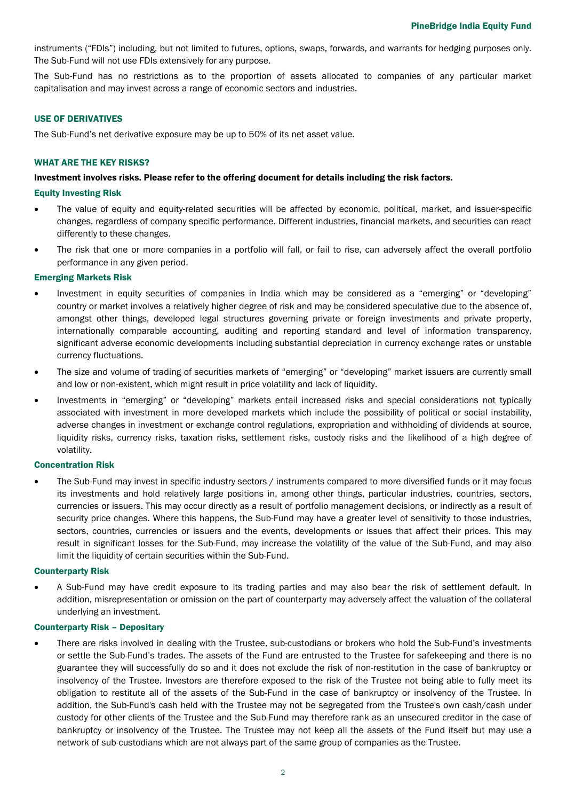instruments ("FDIs") including, but not limited to futures, options, swaps, forwards, and warrants for hedging purposes only. The Sub-Fund will not use FDIs extensively for any purpose.

The Sub-Fund has no restrictions as to the proportion of assets allocated to companies of any particular market capitalisation and may invest across a range of economic sectors and industries.

#### USE OF DERIVATIVES

The Sub-Fund's net derivative exposure may be up to 50% of its net asset value.

#### WHAT ARE THE KEY RISKS?

#### Investment involves risks. Please refer to the offering document for details including the risk factors.

#### Equity Investing Risk

- The value of equity and equity-related securities will be affected by economic, political, market, and issuer-specific changes, regardless of company specific performance. Different industries, financial markets, and securities can react differently to these changes.
- The risk that one or more companies in a portfolio will fall, or fail to rise, can adversely affect the overall portfolio performance in any given period.

#### Emerging Markets Risk

- Investment in equity securities of companies in India which may be considered as a "emerging" or "developing" country or market involves a relatively higher degree of risk and may be considered speculative due to the absence of, amongst other things, developed legal structures governing private or foreign investments and private property, internationally comparable accounting, auditing and reporting standard and level of information transparency, significant adverse economic developments including substantial depreciation in currency exchange rates or unstable currency fluctuations.
- The size and volume of trading of securities markets of "emerging" or "developing" market issuers are currently small and low or non-existent, which might result in price volatility and lack of liquidity.
- Investments in "emerging" or "developing" markets entail increased risks and special considerations not typically associated with investment in more developed markets which include the possibility of political or social instability, adverse changes in investment or exchange control regulations, expropriation and withholding of dividends at source, liquidity risks, currency risks, taxation risks, settlement risks, custody risks and the likelihood of a high degree of volatility.

#### Concentration Risk

The Sub-Fund may invest in specific industry sectors / instruments compared to more diversified funds or it may focus its investments and hold relatively large positions in, among other things, particular industries, countries, sectors, currencies or issuers. This may occur directly as a result of portfolio management decisions, or indirectly as a result of security price changes. Where this happens, the Sub-Fund may have a greater level of sensitivity to those industries, sectors, countries, currencies or issuers and the events, developments or issues that affect their prices. This may result in significant losses for the Sub-Fund, may increase the volatility of the value of the Sub-Fund, and may also limit the liquidity of certain securities within the Sub-Fund.

#### Counterparty Risk

• A Sub-Fund may have credit exposure to its trading parties and may also bear the risk of settlement default. In addition, misrepresentation or omission on the part of counterparty may adversely affect the valuation of the collateral underlying an investment.

#### Counterparty Risk – Depositary

• There are risks involved in dealing with the Trustee, sub-custodians or brokers who hold the Sub-Fund's investments or settle the Sub-Fund's trades. The assets of the Fund are entrusted to the Trustee for safekeeping and there is no guarantee they will successfully do so and it does not exclude the risk of non-restitution in the case of bankruptcy or insolvency of the Trustee. Investors are therefore exposed to the risk of the Trustee not being able to fully meet its obligation to restitute all of the assets of the Sub-Fund in the case of bankruptcy or insolvency of the Trustee. In addition, the Sub-Fund's cash held with the Trustee may not be segregated from the Trustee's own cash/cash under custody for other clients of the Trustee and the Sub-Fund may therefore rank as an unsecured creditor in the case of bankruptcy or insolvency of the Trustee. The Trustee may not keep all the assets of the Fund itself but may use a network of sub-custodians which are not always part of the same group of companies as the Trustee.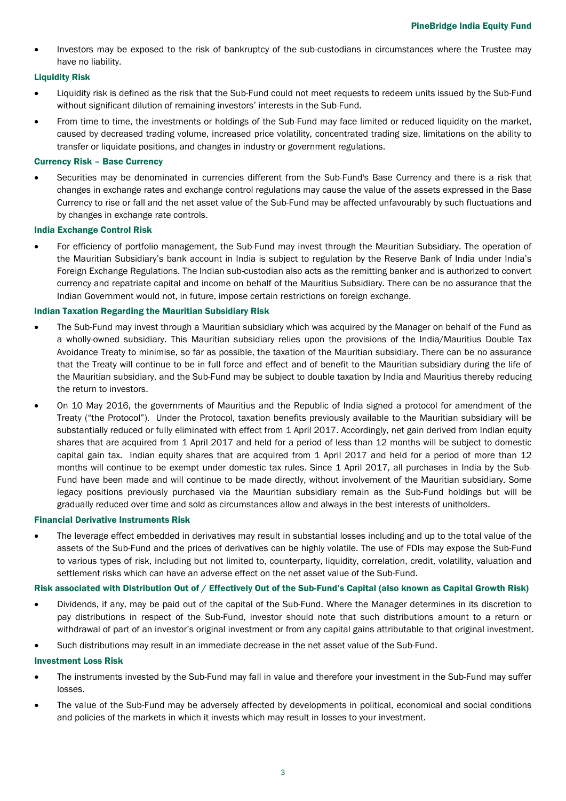• Investors may be exposed to the risk of bankruptcy of the sub-custodians in circumstances where the Trustee may have no liability.

### Liquidity Risk

- Liquidity risk is defined as the risk that the Sub-Fund could not meet requests to redeem units issued by the Sub-Fund without significant dilution of remaining investors' interests in the Sub-Fund.
- From time to time, the investments or holdings of the Sub-Fund may face limited or reduced liquidity on the market, caused by decreased trading volume, increased price volatility, concentrated trading size, limitations on the ability to transfer or liquidate positions, and changes in industry or government regulations.

### Currency Risk – Base Currency

• Securities may be denominated in currencies different from the Sub-Fund's Base Currency and there is a risk that changes in exchange rates and exchange control regulations may cause the value of the assets expressed in the Base Currency to rise or fall and the net asset value of the Sub-Fund may be affected unfavourably by such fluctuations and by changes in exchange rate controls.

#### India Exchange Control Risk

• For efficiency of portfolio management, the Sub-Fund may invest through the Mauritian Subsidiary. The operation of the Mauritian Subsidiary's bank account in India is subject to regulation by the Reserve Bank of India under India's Foreign Exchange Regulations. The Indian sub-custodian also acts as the remitting banker and is authorized to convert currency and repatriate capital and income on behalf of the Mauritius Subsidiary. There can be no assurance that the Indian Government would not, in future, impose certain restrictions on foreign exchange.

### Indian Taxation Regarding the Mauritian Subsidiary Risk

- The Sub-Fund may invest through a Mauritian subsidiary which was acquired by the Manager on behalf of the Fund as a wholly-owned subsidiary. This Mauritian subsidiary relies upon the provisions of the India/Mauritius Double Tax Avoidance Treaty to minimise, so far as possible, the taxation of the Mauritian subsidiary. There can be no assurance that the Treaty will continue to be in full force and effect and of benefit to the Mauritian subsidiary during the life of the Mauritian subsidiary, and the Sub-Fund may be subject to double taxation by India and Mauritius thereby reducing the return to investors.
- On 10 May 2016, the governments of Mauritius and the Republic of India signed a protocol for amendment of the Treaty ("the Protocol"). Under the Protocol, taxation benefits previously available to the Mauritian subsidiary will be substantially reduced or fully eliminated with effect from 1 April 2017. Accordingly, net gain derived from Indian equity shares that are acquired from 1 April 2017 and held for a period of less than 12 months will be subject to domestic capital gain tax. Indian equity shares that are acquired from 1 April 2017 and held for a period of more than 12 months will continue to be exempt under domestic tax rules. Since 1 April 2017, all purchases in India by the Sub-Fund have been made and will continue to be made directly, without involvement of the Mauritian subsidiary. Some legacy positions previously purchased via the Mauritian subsidiary remain as the Sub-Fund holdings but will be gradually reduced over time and sold as circumstances allow and always in the best interests of unitholders.

#### Financial Derivative Instruments Risk

• The leverage effect embedded in derivatives may result in substantial losses including and up to the total value of the assets of the Sub-Fund and the prices of derivatives can be highly volatile. The use of FDIs may expose the Sub-Fund to various types of risk, including but not limited to, counterparty, liquidity, correlation, credit, volatility, valuation and settlement risks which can have an adverse effect on the net asset value of the Sub-Fund.

#### Risk associated with Distribution Out of / Effectively Out of the Sub-Fund's Capital (also known as Capital Growth Risk)

- Dividends, if any, may be paid out of the capital of the Sub-Fund. Where the Manager determines in its discretion to pay distributions in respect of the Sub-Fund, investor should note that such distributions amount to a return or withdrawal of part of an investor's original investment or from any capital gains attributable to that original investment.
- Such distributions may result in an immediate decrease in the net asset value of the Sub-Fund.

#### Investment Loss Risk

- The instruments invested by the Sub-Fund may fall in value and therefore your investment in the Sub-Fund may suffer losses.
- The value of the Sub-Fund may be adversely affected by developments in political, economical and social conditions and policies of the markets in which it invests which may result in losses to your investment.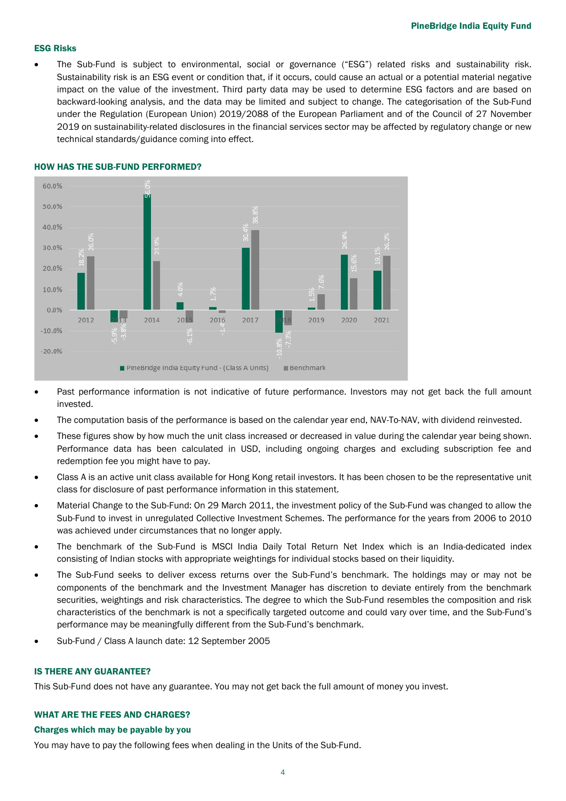#### ESG Risks

• The Sub-Fund is subject to environmental, social or governance ("ESG") related risks and sustainability risk. Sustainability risk is an ESG event or condition that, if it occurs, could cause an actual or a potential material negative impact on the value of the investment. Third party data may be used to determine ESG factors and are based on backward-looking analysis, and the data may be limited and subject to change. The categorisation of the Sub-Fund under the Regulation (European Union) 2019/2088 of the European Parliament and of the Council of 27 November 2019 on sustainability-related disclosures in the financial services sector may be affected by regulatory change or new technical standards/guidance coming into effect.



#### HOW HAS THE SUB-FUND PERFORMED?

- Past performance information is not indicative of future performance. Investors may not get back the full amount invested.
- The computation basis of the performance is based on the calendar year end, NAV-To-NAV, with dividend reinvested.
- These figures show by how much the unit class increased or decreased in value during the calendar year being shown. Performance data has been calculated in USD, including ongoing charges and excluding subscription fee and redemption fee you might have to pay.
- Class A is an active unit class available for Hong Kong retail investors. It has been chosen to be the representative unit class for disclosure of past performance information in this statement.
- Material Change to the Sub-Fund: On 29 March 2011, the investment policy of the Sub-Fund was changed to allow the Sub-Fund to invest in unregulated Collective Investment Schemes. The performance for the years from 2006 to 2010 was achieved under circumstances that no longer apply.
- The benchmark of the Sub-Fund is MSCI India Daily Total Return Net Index which is an India-dedicated index consisting of Indian stocks with appropriate weightings for individual stocks based on their liquidity.
- The Sub-Fund seeks to deliver excess returns over the Sub-Fund's benchmark. The holdings may or may not be components of the benchmark and the Investment Manager has discretion to deviate entirely from the benchmark securities, weightings and risk characteristics. The degree to which the Sub-Fund resembles the composition and risk characteristics of the benchmark is not a specifically targeted outcome and could vary over time, and the Sub-Fund's performance may be meaningfully different from the Sub-Fund's benchmark.
- Sub-Fund / Class A launch date: 12 September 2005

#### IS THERE ANY GUARANTEE?

This Sub-Fund does not have any guarantee. You may not get back the full amount of money you invest.

## WHAT ARE THE FEES AND CHARGES?

#### Charges which may be payable by you

You may have to pay the following fees when dealing in the Units of the Sub-Fund.